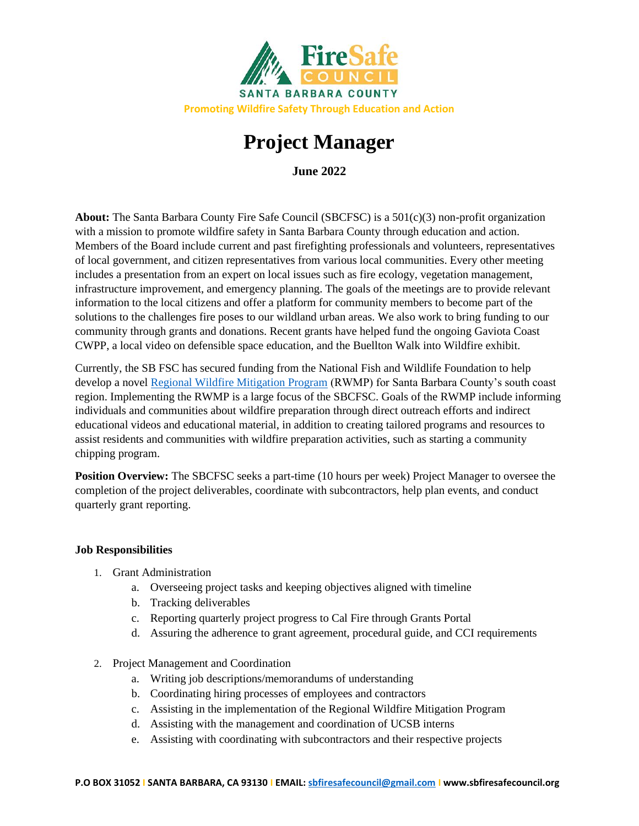

# **Project Manager**

**June 2022**

**About:** The Santa Barbara County Fire Safe Council (SBCFSC) is a 501(c)(3) non-profit organization with a mission to promote wildfire safety in Santa Barbara County through education and action. Members of the Board include current and past firefighting professionals and volunteers, representatives of local government, and citizen representatives from various local communities. Every other meeting includes a presentation from an expert on local issues such as fire ecology, vegetation management, infrastructure improvement, and emergency planning. The goals of the meetings are to provide relevant information to the local citizens and offer a platform for community members to become part of the solutions to the challenges fire poses to our wildland urban areas. We also work to bring funding to our community through grants and donations. Recent grants have helped fund the ongoing Gaviota Coast CWPP, a local video on defensible space education, and the Buellton Walk into Wildfire exhibit.

Currently, the SB FSC has secured funding from the National Fish and Wildlife Foundation to help develop a novel [Regional Wildfire Mitigation Program](https://rwmpsantabarbara.org/) (RWMP) for Santa Barbara County's south coast region. Implementing the RWMP is a large focus of the SBCFSC. Goals of the RWMP include informing individuals and communities about wildfire preparation through direct outreach efforts and indirect educational videos and educational material, in addition to creating tailored programs and resources to assist residents and communities with wildfire preparation activities, such as starting a community chipping program.

**Position Overview:** The SBCFSC seeks a part-time (10 hours per week) Project Manager to oversee the completion of the project deliverables, coordinate with subcontractors, help plan events, and conduct quarterly grant reporting.

# **Job Responsibilities**

- 1. Grant Administration
	- a. Overseeing project tasks and keeping objectives aligned with timeline
	- b. Tracking deliverables
	- c. Reporting quarterly project progress to Cal Fire through Grants Portal
	- d. Assuring the adherence to grant agreement, procedural guide, and CCI requirements
- 2. Project Management and Coordination
	- a. Writing job descriptions/memorandums of understanding
	- b. Coordinating hiring processes of employees and contractors
	- c. Assisting in the implementation of the Regional Wildfire Mitigation Program
	- d. Assisting with the management and coordination of UCSB interns
	- e. Assisting with coordinating with subcontractors and their respective projects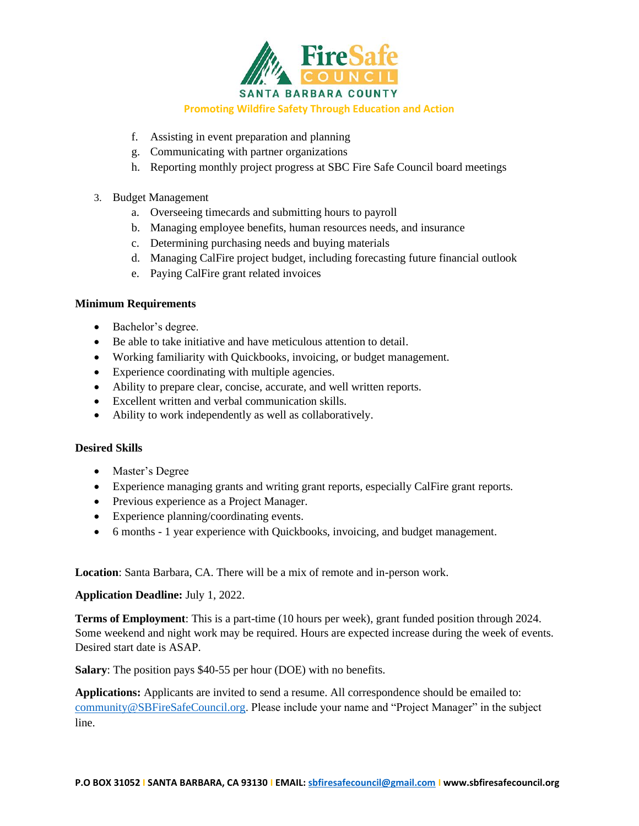

#### **Promoting Wildfire Safety Through Education and Action**

- f. Assisting in event preparation and planning
- g. Communicating with partner organizations
- h. Reporting monthly project progress at SBC Fire Safe Council board meetings
- 3. Budget Management
	- a. Overseeing timecards and submitting hours to payroll
	- b. Managing employee benefits, human resources needs, and insurance
	- c. Determining purchasing needs and buying materials
	- d. Managing CalFire project budget, including forecasting future financial outlook
	- e. Paying CalFire grant related invoices

# **Minimum Requirements**

- Bachelor's degree.
- Be able to take initiative and have meticulous attention to detail.
- Working familiarity with Quickbooks, invoicing, or budget management.
- Experience coordinating with multiple agencies.
- Ability to prepare clear, concise, accurate, and well written reports.
- Excellent written and verbal communication skills.
- Ability to work independently as well as collaboratively.

# **Desired Skills**

- Master's Degree
- Experience managing grants and writing grant reports, especially CalFire grant reports.
- Previous experience as a Project Manager.
- Experience planning/coordinating events.
- 6 months 1 year experience with Quickbooks, invoicing, and budget management.

**Location**: Santa Barbara, CA. There will be a mix of remote and in-person work.

# **Application Deadline:** July 1, 2022.

**Terms of Employment**: This is a part-time (10 hours per week), grant funded position through 2024. Some weekend and night work may be required. Hours are expected increase during the week of events. Desired start date is ASAP.

**Salary**: The position pays \$40-55 per hour (DOE) with no benefits.

**Applications:** Applicants are invited to send a resume. All correspondence should be emailed to: [community@SBFireSafeCouncil.org.](mailto:community@SBFireSafeCouncil.org) Please include your name and "Project Manager" in the subject line.